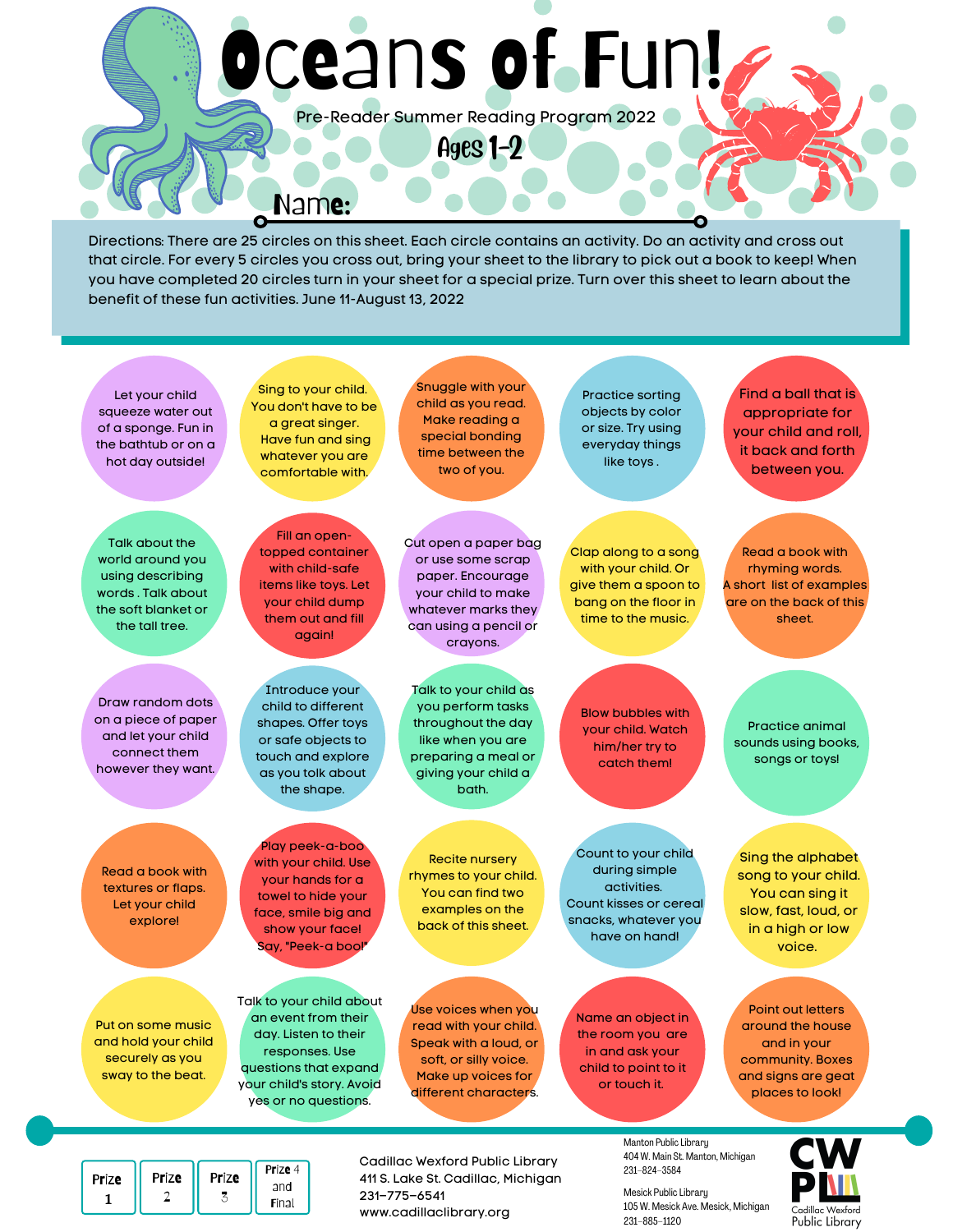# Oceans of Fun!

Pre-Reader Summer Reading Program 2022

Ages 1-2

Name:

Directions: There are 25 circles on this sheet. Each circle contains an activity. Do an activity and cross out that circle. For every 5 circles you cross out, bring your sheet to the library to pick out a book to keep! When you have completed 20 circles turn in your sheet for a special prize. Turn over this sheet to learn about the benefit of these fun activities. June 11-August 13, 2022



www.cadillaclibrary.org

1

2

3

Final

Mesick Public Library 105 W. Mesick Ave. Mesick, Michigan 231–885–1120

Cadillac Wexford Public Library